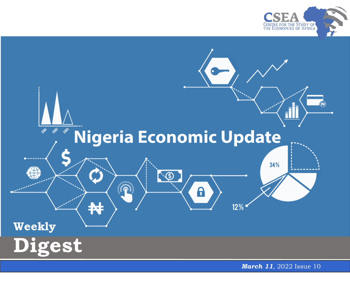



*March 11*, 2022 Issue 10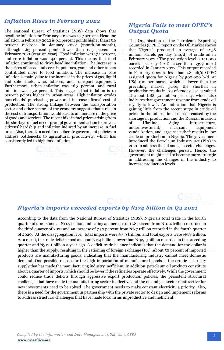## *Inflation Rises in February 2022*

The National Bureau of Statistics (NBS) data shows that headline inflation for February 2022 was 15.7 percent. Headline inflation in February 2022 is 0.1 percent points higher than 15.6 percent recorded in January 2022 (month-on-month), although 1.63 percent points lower than 17.3 percent in February 2021 (year-on-year).<sup>1</sup> Food inflation was 17.1 percent, and core inflation was 14.0 percent. This means that food inflation continued to drive headline inflation. The increase in the prices of bread and cereals, potatoes, yam and other tubers contributed more to food inflation. The increase in core inflation is mainly due to the increase in the prices of gas, liquid and solid fuels, wine, tobacco, and transport equipment. Furthermore, urban inflation was 16.3 percent, and rural inflation was 15.2 percent. This suggests that inflation is 1.1 percent points higher in urban areas. High inflation erodes households' purchasing power and increases firms' cost of production. The strong linkage between the transportation sector and other sectors of the economy suggests that a rise in the cost of transportation would lead to an increase in the price of goods and services. The recent hike in fuel prices arising from the shortage of fuel needs prompt government action to prevent citizens' hardship and inflation induced by an increase in fuel price. Also, there is a need for deliberate government policies to address bottlenecks to agricultural productivity, which has consistently led to high food inflation.



## *Nigeria Fails to meet OPEC's Output Quota*

The Organisation of the Petroleum Exporting Countries (OPEC) report on the Oil Market shows that Nigeria's produced an average of 1.258 million barrels per day (mb/d) of crude oil in February 2022.<sup>2</sup> The production level is 141,000 barrels per day (b/d) lesser than 1.399 mb/d recorded in January 2022. This output recorded in February 2022 is less than 1.8 mb/d OPEC assigned quota for Nigeria by 500,000 b/d. At US\$ 100 per barrel, which is lower than the prevailing market price, the shortfall in production results in loss of crude oil sales valued at about US\$ 50 million per day, which also indicates that government revenue from crude oil royalty is lower. An indication that Nigeria is gaining little from the recent surge in crude oil prices in the international market caused by the shortage in production and the Russian invasion of Ukraine. Aging infrastructure, underinvestment, incessant equipment vandalization, and large-scale theft results in low crude oil production in Nigeria. The government introduced the Petroleum Industry Act (PIA) in 2021 to address the oil and gas sector challenges. However, the challenges persist. Hence, the government might need to become more strategic in addressing the changes in the industry to increase production levels.

## *Nigeria's imports exceeded exports by ₦174 billion in Q4 2021*

 demand. One possible reason for the high importation of manufactured goods is the erratic electricity According to the data from the National Bureau of Statistics (NBS), Nigeria's total trade in the fourth quarter of 2021 stood at ₦11.7 trillion, indicating an increase of 11.8 percent from ₦10.4 trillion recorded in the third quarter of 2021 and an increase of 74.7 percent from N6.7 trillion recorded in the fourth quarter of 2020.<sup>3</sup> At the disaggregation level, total imports were  $\mathbb{N}_5$ .9 trillion, and total exports were  $\mathbb{N}_5$ .8 trillion. As a result, the trade deficit stood at about N174 billion, lower than N199.3 billion recorded in the preceding quarter and ₦312.1 billion a year ago. A deficit trade balance indicates that the demand for the dollar is higher than the supply, resulting in the rationing of foreign exchange (FX). About 50 percent of imported products are manufacturing goods, indicating that the manufacturing industry cannot meet domestic supply that has made the manufacturing industry inefficient. In addition, petroleum oil products constitute about a quarter of imports, which should be lower if the refineries operate effectively. While the government could reduce trade deficits through aggressive export production policies, the persistent structural challenges that have made the manufacturing sector ineffective and the oil and gas sector unattractive for new investments need to be solved. The government needs to make constant electricity a priority. Also, there is a need for the government in partnership with the private sector to design and implement reforms to address structural challenges that have made local firms unproductive and inefficient.